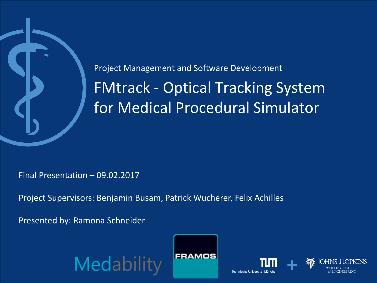

FMtrack - Optical Tracking System for Medical Procedural Simulator Project Management and Software Development

Final Presentation – 09.02.2017

Project Supervisors: Benjamin Busam, Patrick Wucherer, Felix Achilles

Presented by: Ramona Schneider

Medabi





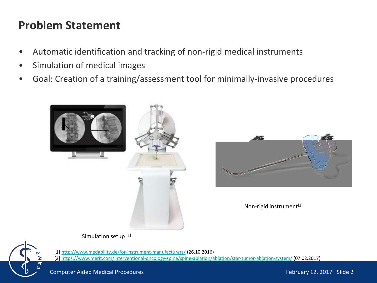## **Problem Statement**

- Automatic identification and tracking of non-rigid medical instruments
- Simulation of medical images
- Goal: Creation of a training/assessment tool for minimally-invasive procedures





Non-rigid instrument[2]

Simulation setup<sup>[1]</sup>



[1] <http://www.medability.de/for-instrument-manufacturers/> (26.10.2016) [2] <https://www.merit.com/interventional-oncology-spine/spine-ablation/ablation/star-tumor-ablation-system/> (07.02.2017)

Computer Aided Medical Procedures February 12, 2017 Slide 2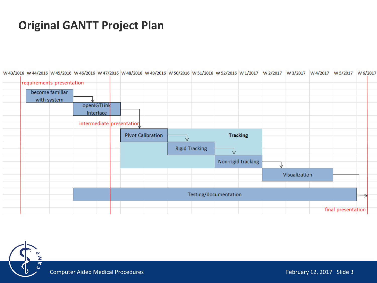# **Original GANTT Project Plan**

|  | W 43/2016  W 44/2016  W 45/2016  W 46/2016  W 47/2016  W 48/2016  W 49/2016  W 50/2016  W 51/2016  W 52/2016  W 1/2017  W 2/2017  W 3/2017  W 4/2017  W 5/2017  W 5/2017  W 5/2017  W 5/2017  W 5/2017  W 5/2017  W 5/2017  W |             |           |                           |                          |                       |   |                    |               |                    |  |
|--|-------------------------------------------------------------------------------------------------------------------------------------------------------------------------------------------------------------------------------|-------------|-----------|---------------------------|--------------------------|-----------------------|---|--------------------|---------------|--------------------|--|
|  | requirements presentation                                                                                                                                                                                                     |             |           |                           |                          |                       |   |                    |               |                    |  |
|  | become familiar                                                                                                                                                                                                               |             |           |                           |                          |                       |   |                    |               |                    |  |
|  | with system                                                                                                                                                                                                                   |             |           |                           |                          |                       |   |                    |               |                    |  |
|  |                                                                                                                                                                                                                               | openIGTLink |           |                           |                          |                       |   |                    |               |                    |  |
|  |                                                                                                                                                                                                                               |             | Interface |                           |                          |                       |   |                    |               |                    |  |
|  |                                                                                                                                                                                                                               |             |           | intermediate presentation |                          |                       |   |                    |               |                    |  |
|  |                                                                                                                                                                                                                               |             |           |                           | <b>Pivot Calibration</b> |                       |   | <b>Tracking</b>    |               |                    |  |
|  |                                                                                                                                                                                                                               |             |           |                           |                          | <b>Rigid Tracking</b> | v |                    |               |                    |  |
|  |                                                                                                                                                                                                                               |             |           |                           |                          |                       |   | Non-rigid tracking |               |                    |  |
|  |                                                                                                                                                                                                                               |             |           |                           |                          |                       |   |                    | Visualization |                    |  |
|  |                                                                                                                                                                                                                               |             |           |                           |                          |                       |   |                    |               |                    |  |
|  |                                                                                                                                                                                                                               |             |           |                           |                          | Testing/documentation |   |                    |               |                    |  |
|  |                                                                                                                                                                                                                               |             |           |                           |                          |                       |   |                    |               | final presentation |  |

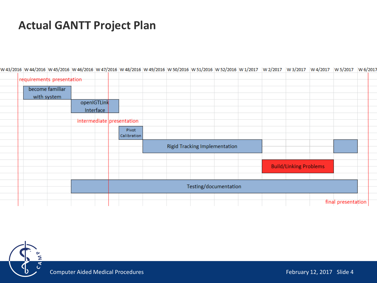# **Actual GANTT Project Plan**

| W 45/ZU10  W 44/ZU10  W 40/ZU10  W 40/ZU10  W 47/ZU10  W 46/ZU10  W 49/ZU10  W JU/ZU10  W JI/ZU10  W JZ/ZU10  W 1/ZU17  W Z/ZU17  W 3/ZU17  W 4/ZU17  W J/ZU17  W 0/ZU1 |                 |             |           |                           |                                      |                       |  |                               |                    |  |
|-------------------------------------------------------------------------------------------------------------------------------------------------------------------------|-----------------|-------------|-----------|---------------------------|--------------------------------------|-----------------------|--|-------------------------------|--------------------|--|
| requirements presentation                                                                                                                                               |                 |             |           |                           |                                      |                       |  |                               |                    |  |
|                                                                                                                                                                         | become familiar |             |           |                           |                                      |                       |  |                               |                    |  |
| with system                                                                                                                                                             |                 |             |           |                           |                                      |                       |  |                               |                    |  |
|                                                                                                                                                                         |                 | openIGTLink |           |                           |                                      |                       |  |                               |                    |  |
|                                                                                                                                                                         |                 |             | Interface |                           |                                      |                       |  |                               |                    |  |
|                                                                                                                                                                         |                 |             |           | intermediate presentation |                                      |                       |  |                               |                    |  |
|                                                                                                                                                                         |                 |             |           | Pivot                     |                                      |                       |  |                               |                    |  |
|                                                                                                                                                                         |                 |             |           | Calibration               |                                      |                       |  |                               |                    |  |
|                                                                                                                                                                         |                 |             |           |                           | <b>Rigid Tracking Implementation</b> |                       |  |                               |                    |  |
|                                                                                                                                                                         |                 |             |           |                           |                                      |                       |  |                               |                    |  |
|                                                                                                                                                                         |                 |             |           |                           |                                      |                       |  | <b>Build/Linking Problems</b> |                    |  |
|                                                                                                                                                                         |                 |             |           |                           |                                      |                       |  |                               |                    |  |
|                                                                                                                                                                         |                 |             |           |                           |                                      | Testing/documentation |  |                               |                    |  |
|                                                                                                                                                                         |                 |             |           |                           |                                      |                       |  |                               |                    |  |
|                                                                                                                                                                         |                 |             |           |                           |                                      |                       |  |                               |                    |  |
|                                                                                                                                                                         |                 |             |           |                           |                                      |                       |  |                               | final presentation |  |

W43/2016 W44/2016 W45/2016 W45/2016 W46/2016 W48/2016 W48/2016 W49/2016 W50/2016 W51/2016 W52/2016 W12/2017 W2/2017 W3/2017 W4/2017 W5/2017 W6/2017

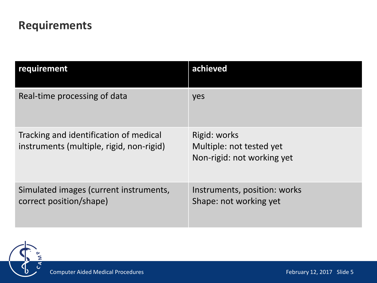# **Requirements**

| requirement                                                                        | achieved                                                               |
|------------------------------------------------------------------------------------|------------------------------------------------------------------------|
| Real-time processing of data                                                       | yes                                                                    |
| Tracking and identification of medical<br>instruments (multiple, rigid, non-rigid) | Rigid: works<br>Multiple: not tested yet<br>Non-rigid: not working yet |
| Simulated images (current instruments,<br>correct position/shape)                  | Instruments, position: works<br>Shape: not working yet                 |

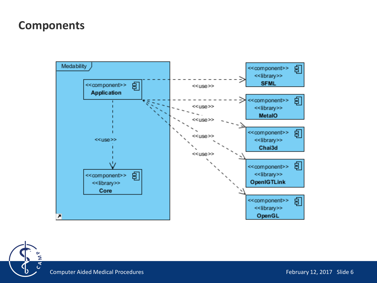## **Components**



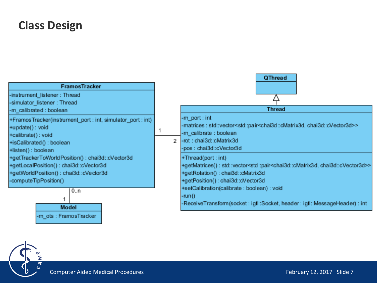## **Class Design**

| <b>FramosTracker</b><br>-instrument_listener: Thread<br>-simulator_listener: Thread                                                                                                                     |               | QThread                                                                                                                                                                                                                                                                                                                                               |  |  |  |  |  |
|---------------------------------------------------------------------------------------------------------------------------------------------------------------------------------------------------------|---------------|-------------------------------------------------------------------------------------------------------------------------------------------------------------------------------------------------------------------------------------------------------------------------------------------------------------------------------------------------------|--|--|--|--|--|
| -m_calibrated: boolean                                                                                                                                                                                  |               | Thread                                                                                                                                                                                                                                                                                                                                                |  |  |  |  |  |
| +FramosTracker(instrument_port: int, simulator_port: int)<br>+update(): void<br>+calibrate(): void<br>+isCalibrated(): boolean<br>+listen(): boolean<br>+getTrackerToWorldPosition(): chai3d::cVector3d | $\mathcal{D}$ | -m_port : int<br>-matrices : std::vector <std::pair<chai3d::cmatrix3d, chai3d::cvector3d="">&gt;<br/>-m_calibrate : boolean<br/>-rot: chai3d::cMatrix3d<br/>-pos : chai3d::cVector3d<br/>+Thread(port:int)</std::pair<chai3d::cmatrix3d,>                                                                                                             |  |  |  |  |  |
| +getLocalPosition(): chai3d::cVector3d<br>+getWorldPosition(): chai3d::cVector3d<br>-computeTipPosition()<br>0n<br>Model<br>-m ots : FramosTracker                                                      |               | +getMatrices(): std::vector <std::pair<chai3d::cmatrix3d, chai3d::cvector3d="">&gt;<br/>+getRotation(): chai3d::cMatrix3d<br/>+getPosition(): chai3d::cVector3d<br/>+setCalibration(calibrate : boolean) : void<br/><math>-run()</math><br/>-ReceiveTransform(socket: igtl::Socket, header: igtl::MessageHeader) : int</std::pair<chai3d::cmatrix3d,> |  |  |  |  |  |

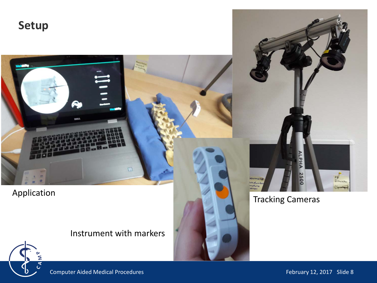**Setup**



### Instrument with markers





Computer Aided Medical Procedures February 12, 2017 Slide 8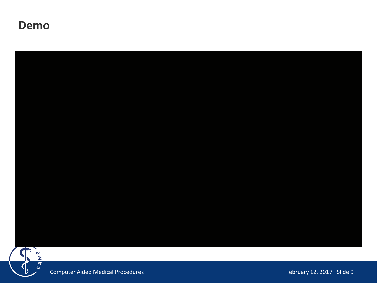### **Demo**

b



Computer Aided Medical Procedures February 12, 2017 Slide 9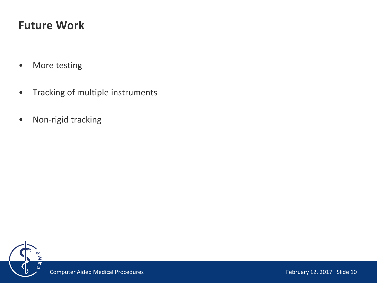# **Future Work**

- More testing
- Tracking of multiple instruments
- Non-rigid tracking